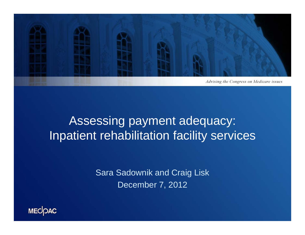

### Assessing payment adequacy: Inpatient rehabilitation facility services

Sara Sadownik and Craig Lisk December 7, 2012

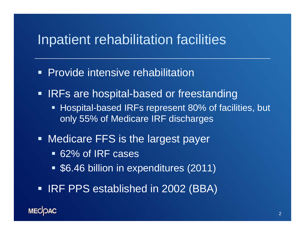#### Inpatient rehabilitation facilities

- **Provide intensive rehabilitation**
- **IRFs are hospital-based or freestanding** 
	- Hospital-based IRFs represent 80% of facilities, but only 55% of Medicare IRF discharges
- **Medicare FFS is the largest payer** 
	- 62% of IRF cases
	- \$6.46 billion in expenditures (2011)
- **IRF PPS established in 2002 (BBA)**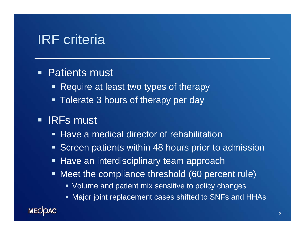## IRF criteria

#### $\blacksquare$ Patients must

- **Require at least two types of therapy**
- **Tolerate 3 hours of therapy per day**

#### $\blacksquare$ IRFs must

- **Have a medical director of rehabilitation**
- **Screen patients within 48 hours prior to admission**
- **Have an interdisciplinary team approach**
- Meet the compliance threshold (60 percent rule)
	- Volume and patient mix sensitive to policy changes
	- Major joint replacement cases shifted to SNFs and HHAs

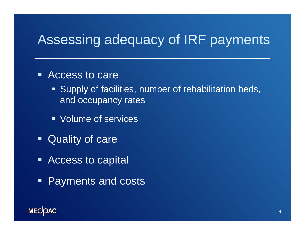# Assessing adequacy of IRF payments

#### ■ Access to care

- **Supply of facilities, number of rehabilitation beds,** and occupancy rates
- **Volume of services**
- **Quality of care**
- **Access to capital**
- **Payments and costs**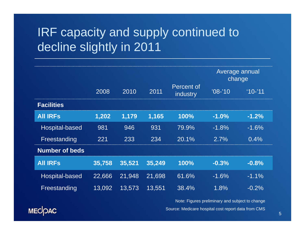## IRF capacity and supply continued to decline slightly in 2011

|                       |        |        |        |                               | Average annual<br>change |           |
|-----------------------|--------|--------|--------|-------------------------------|--------------------------|-----------|
|                       | 2008   | 2010   | 2011   | Percent of<br><i>industry</i> | $'08-'10$                | $10 - 11$ |
| <b>Facilities</b>     |        |        |        |                               |                          |           |
| <b>All IRFS</b>       | 1,202  | 1,179  | 1,165  | 100%                          | $-1.0%$                  | $-1.2%$   |
| <b>Hospital-based</b> | 981    | 946    | 931    | 79.9%                         | $-1.8%$                  | $-1.6%$   |
| Freestanding          | 221    | 233    | 234    | 20.1%                         | 2.7%                     | 0.4%      |
| <b>Number of beds</b> |        |        |        |                               |                          |           |
| <b>All IRFS</b>       | 35,758 | 35,521 | 35,249 | 100%                          | $-0.3%$                  | $-0.8%$   |
| Hospital-based        | 22,666 | 21,948 | 21,698 | 61.6%                         | $-1.6%$                  | $-1.1\%$  |
| Freestanding          | 13,092 | 13,573 | 13,551 | 38.4%                         | 1.8%                     | $-0.2%$   |

Source: Medicare hospital cost report data from CMS Note: Figures preliminary and subject to change

MECOAC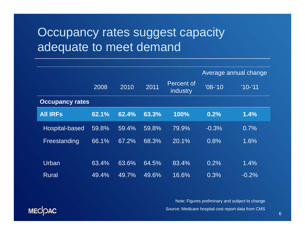#### Occupancy rates suggest capacity adequate to meet demand

|                        |       |       |       | Average annual change  |            |          |
|------------------------|-------|-------|-------|------------------------|------------|----------|
|                        | 2008  | 2010  | 2011  | Percent of<br>industry | $108 - 10$ | $'10-11$ |
| <b>Occupancy rates</b> |       |       |       |                        |            |          |
| <b>All IRFS</b>        | 62.1% | 62.4% | 63.3% | 100%                   | 0.2%       | 1.4%     |
| Hospital-based         | 59.8% | 59.4% | 59.8% | 79.9%                  | $-0.3%$    | 0.7%     |
| Freestanding           | 66.1% | 67.2% | 68.3% | 20.1%                  | 0.8%       | 1.6%     |
|                        |       |       |       |                        |            |          |
| Urban                  | 63.4% | 63.6% | 64.5% | 83.4%                  | 0.2%       | 1.4%     |
| <b>Rural</b>           | 49.4% | 49.7% | 49.6% | 16.6%                  | 0.3%       | $-0.2%$  |

Source: Medicare hospital cost report data from CMS Note: Figures preliminary and subject to change

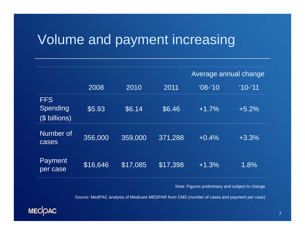## Volume and payment increasing

|                                         |          |          |          | Average annual change |         |  |
|-----------------------------------------|----------|----------|----------|-----------------------|---------|--|
|                                         | 2008     | 2010     | 2011     | $'08-'10$             | $10-11$ |  |
| <b>FFS</b><br>Spending<br>(\$ billions) | \$5.93   | \$6.14   | \$6.46   | $+1.7%$               | $+5.2%$ |  |
| Number of<br>cases                      | 356,000  | 359,000  | 371,288  | $+0.4%$               | $+3.3%$ |  |
| <b>Payment</b><br>per case              | \$16,646 | \$17,085 | \$17,398 | $+1.3%$               | 1.8%    |  |

Note: Figures preliminary and subject to change

Source: MedPAC analysis of Medicare MEDPAR from CMS (number of cases and payment per case)

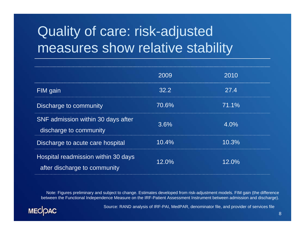# Quality of care: risk-adjusted measures show relative stability

|                                                                     | 2009  | 2010  |
|---------------------------------------------------------------------|-------|-------|
| FIM gain                                                            | 32.2  | 27.4  |
| Discharge to community                                              | 70.6% | 71.1% |
| SNF admission within 30 days after<br>discharge to community        | 3.6%  | 4.0%  |
| Discharge to acute care hospital                                    | 10.4% | 10.3% |
| Hospital readmission within 30 days<br>after discharge to community | 12.0% | 12.0% |

Note: Figures preliminary and subject to change. Estimates developed from risk-adjustment models. FIM gain (the difference between the Functional Independence Measure on the IRF-Patient Assessment Instrument between admission and discharge).



Source: RAND analysis of IRF-PAI, MedPAR, denominator file, and provider of services file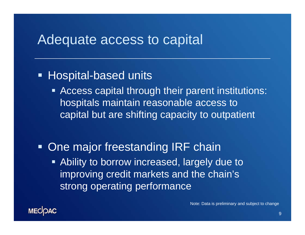#### Adequate access to capital

#### **- Hospital-based units**

- **EXTE: Access capital through their parent institutions:** hospitals maintain reasonable access to capital but are shifting capacity to outpatient
- **One major freestanding IRF chain Example 2 Ability to borrow increased, largely due to a** improving credit markets and the chain's strong operating performance

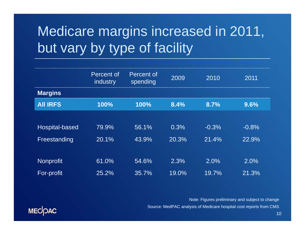# Medicare margins increased in 2011, but vary by type of facility

|                  | Percent of<br>industry | Percent of<br>spending | 2009  | 2010    | 2011    |
|------------------|------------------------|------------------------|-------|---------|---------|
| <b>Margins</b>   |                        |                        |       |         |         |
| <b>AII IRFS</b>  | 100%                   | 100%                   | 8.4%  | 8.7%    | 9.6%    |
|                  |                        |                        |       |         |         |
| Hospital-based   | 79.9%                  | 56.1%                  | 0.3%  | $-0.3%$ | $-0.8%$ |
| Freestanding     | 20.1%                  | 43.9%                  | 20.3% | 21.4%   | 22.9%   |
|                  |                        |                        |       |         |         |
| <b>Nonprofit</b> | 61.0%                  | 54.6%                  | 2.3%  | 2.0%    | 2.0%    |
| For-profit       | 25.2%                  | 35.7%                  | 19.0% | 19.7%   | 21.3%   |

Note: Figures preliminary and subject to change Source: MedPAC analysis of Medicare hospital cost reports from CMS

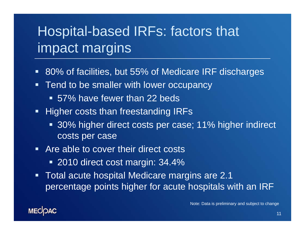# Hospital-based IRFs: factors that impact margins

- $\blacksquare$ 80% of facilities, but 55% of Medicare IRF discharges
- $\blacksquare$  Tend to be smaller with lower occupancy
	- 57% have fewer than 22 beds
- **Higher costs than freestanding IRFs** 
	- 30% higher direct costs per case; 11% higher indirect costs per case
- **EXTENCE Are able to cover their direct costs.** 
	- 2010 direct cost margin: 34.4%
- $\blacksquare$  Total acute hospital Medicare margins are 2.1 percentage points higher for acute hospitals with an IRF

Note: Data is preliminary and subject to change